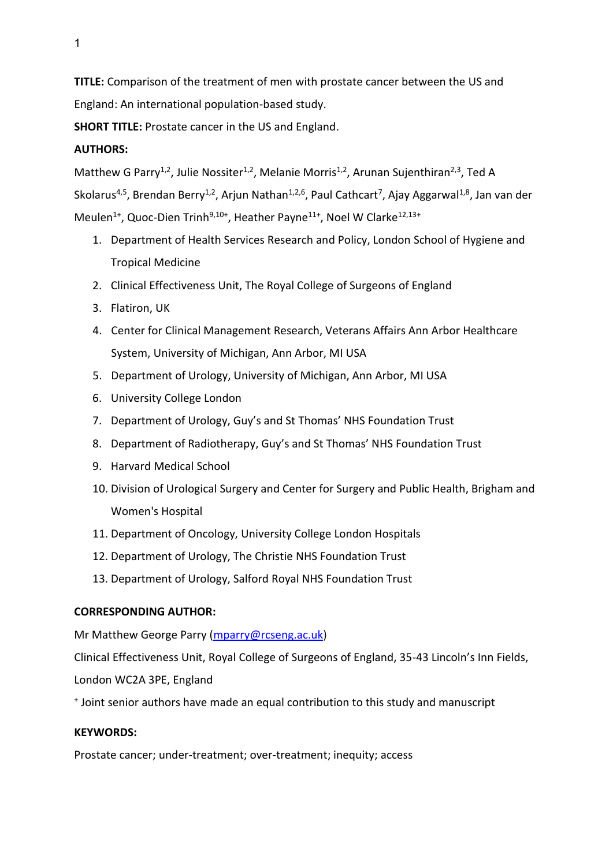**TITLE:** Comparison of the treatment of men with prostate cancer between the US and England: An international population-based study.

**SHORT TITLE:** Prostate cancer in the US and England.

# **AUTHORS:**

Matthew G Parry<sup>1,2</sup>, Julie Nossiter<sup>1,2</sup>, Melanie Morris<sup>1,2</sup>, Arunan Sujenthiran<sup>2,3</sup>, Ted A Skolarus<sup>4,5</sup>, Brendan Berry<sup>1,2</sup>, Arjun Nathan<sup>1,2,6</sup>, Paul Cathcart<sup>7</sup>, Ajay Aggarwal<sup>1,8</sup>, Jan van der Meulen<sup>1+</sup>, Quoc-Dien Trinh<sup>9,10+</sup>, Heather Payne<sup>11+</sup>, Noel W Clarke<sup>12,13+</sup>

- 1. Department of Health Services Research and Policy, London School of Hygiene and Tropical Medicine
- 2. Clinical Effectiveness Unit, The Royal College of Surgeons of England
- 3. Flatiron, UK
- 4. Center for Clinical Management Research, Veterans Affairs Ann Arbor Healthcare System, University of Michigan, Ann Arbor, MI USA
- 5. Department of Urology, University of Michigan, Ann Arbor, MI USA
- 6. University College London
- 7. Department of Urology, Guy's and St Thomas' NHS Foundation Trust
- 8. Department of Radiotherapy, Guy's and St Thomas' NHS Foundation Trust
- 9. Harvard Medical School
- 10. Division of Urological Surgery and Center for Surgery and Public Health, Brigham and Women's Hospital
- 11. Department of Oncology, University College London Hospitals
- 12. Department of Urology, The Christie NHS Foundation Trust
- 13. Department of Urology, Salford Royal NHS Foundation Trust

# **CORRESPONDING AUTHOR:**

Mr Matthew George Parry [\(mparry@rcseng.ac.uk\)](mailto:mparry@rcseng.ac.uk)

Clinical Effectiveness Unit, Royal College of Surgeons of England, 35-43 Lincoln's Inn Fields,

London WC2A 3PE, England

+ Joint senior authors have made an equal contribution to this study and manuscript

# **KEYWORDS:**

Prostate cancer; under-treatment; over-treatment; inequity; access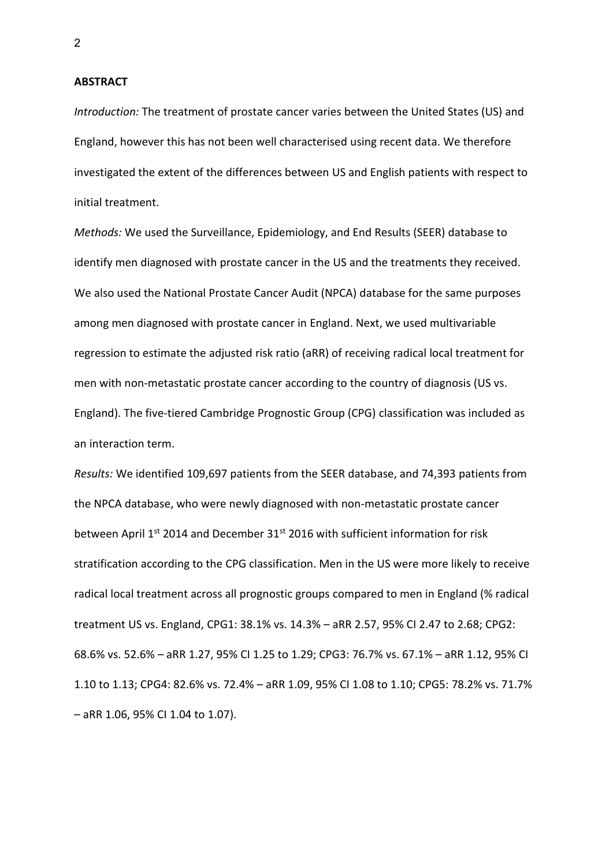**ABSTRACT**

*Introduction:* The treatment of prostate cancer varies between the United States (US) and England, however this has not been well characterised using recent data. We therefore investigated the extent of the differences between US and English patients with respect to initial treatment.

*Methods:* We used the Surveillance, Epidemiology, and End Results (SEER) database to identify men diagnosed with prostate cancer in the US and the treatments they received. We also used the National Prostate Cancer Audit (NPCA) database for the same purposes among men diagnosed with prostate cancer in England. Next, we used multivariable regression to estimate the adjusted risk ratio (aRR) of receiving radical local treatment for men with non-metastatic prostate cancer according to the country of diagnosis (US vs. England). The five-tiered Cambridge Prognostic Group (CPG) classification was included as an interaction term.

*Results:* We identified 109,697 patients from the SEER database, and 74,393 patients from the NPCA database, who were newly diagnosed with non-metastatic prostate cancer between April  $1^{st}$  2014 and December 31 $st$  2016 with sufficient information for risk stratification according to the CPG classification. Men in the US were more likely to receive radical local treatment across all prognostic groups compared to men in England (% radical treatment US vs. England, CPG1: 38.1% vs. 14.3% – aRR 2.57, 95% CI 2.47 to 2.68; CPG2: 68.6% vs. 52.6% – aRR 1.27, 95% CI 1.25 to 1.29; CPG3: 76.7% vs. 67.1% – aRR 1.12, 95% CI 1.10 to 1.13; CPG4: 82.6% vs. 72.4% – aRR 1.09, 95% CI 1.08 to 1.10; CPG5: 78.2% vs. 71.7% – aRR 1.06, 95% CI 1.04 to 1.07).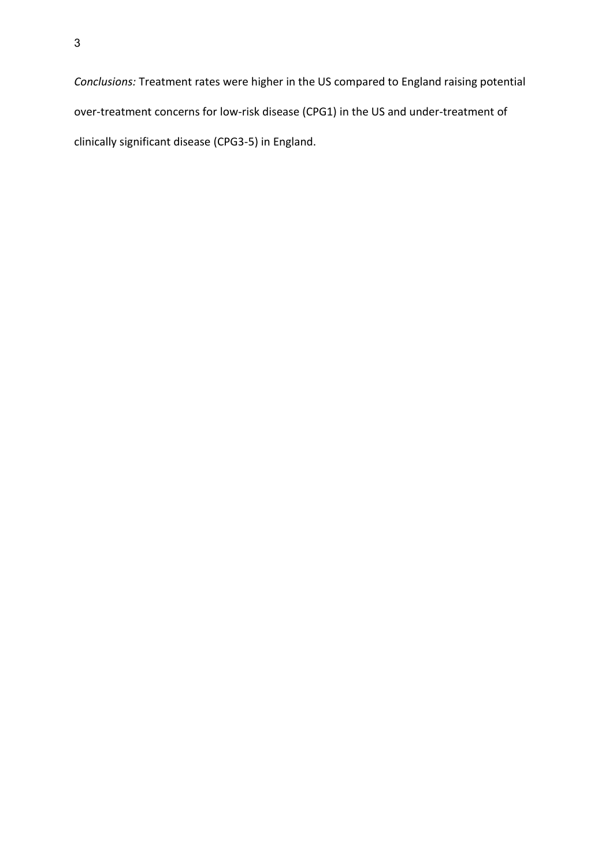*Conclusions:* Treatment rates were higher in the US compared to England raising potential over-treatment concerns for low-risk disease (CPG1) in the US and under-treatment of clinically significant disease (CPG3-5) in England.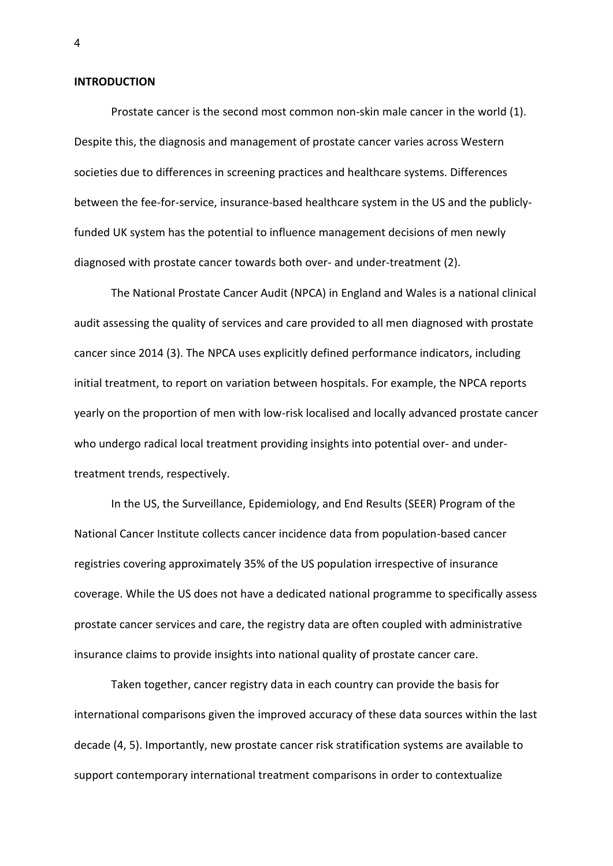### **INTRODUCTION**

Prostate cancer is the second most common non-skin male cancer in the world (1). Despite this, the diagnosis and management of prostate cancer varies across Western societies due to differences in screening practices and healthcare systems. Differences between the fee-for-service, insurance-based healthcare system in the US and the publiclyfunded UK system has the potential to influence management decisions of men newly diagnosed with prostate cancer towards both over- and under-treatment (2).

The National Prostate Cancer Audit (NPCA) in England and Wales is a national clinical audit assessing the quality of services and care provided to all men diagnosed with prostate cancer since 2014 (3). The NPCA uses explicitly defined performance indicators, including initial treatment, to report on variation between hospitals. For example, the NPCA reports yearly on the proportion of men with low-risk localised and locally advanced prostate cancer who undergo radical local treatment providing insights into potential over- and undertreatment trends, respectively.

In the US, the Surveillance, Epidemiology, and End Results (SEER) Program of the National Cancer Institute collects cancer incidence data from population-based cancer registries covering approximately 35% of the US population irrespective of insurance coverage. While the US does not have a dedicated national programme to specifically assess prostate cancer services and care, the registry data are often coupled with administrative insurance claims to provide insights into national quality of prostate cancer care.

Taken together, cancer registry data in each country can provide the basis for international comparisons given the improved accuracy of these data sources within the last decade (4, 5). Importantly, new prostate cancer risk stratification systems are available to support contemporary international treatment comparisons in order to contextualize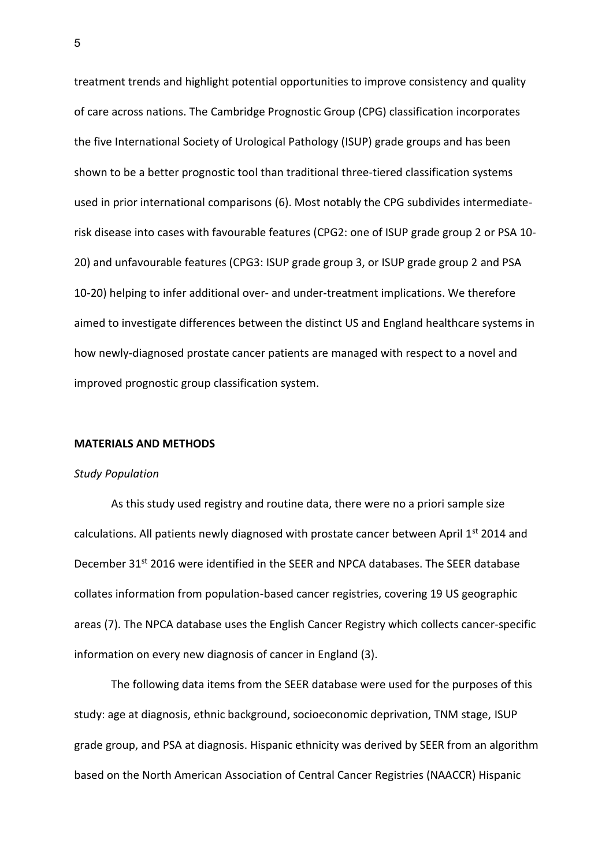treatment trends and highlight potential opportunities to improve consistency and quality of care across nations. The Cambridge Prognostic Group (CPG) classification incorporates the five International Society of Urological Pathology (ISUP) grade groups and has been shown to be a better prognostic tool than traditional three-tiered classification systems used in prior international comparisons (6). Most notably the CPG subdivides intermediaterisk disease into cases with favourable features (CPG2: one of ISUP grade group 2 or PSA 10- 20) and unfavourable features (CPG3: ISUP grade group 3, or ISUP grade group 2 and PSA 10-20) helping to infer additional over- and under-treatment implications. We therefore aimed to investigate differences between the distinct US and England healthcare systems in how newly-diagnosed prostate cancer patients are managed with respect to a novel and improved prognostic group classification system.

### **MATERIALS AND METHODS**

#### *Study Population*

As this study used registry and routine data, there were no a priori sample size calculations. All patients newly diagnosed with prostate cancer between April  $1^{st}$  2014 and December 31<sup>st</sup> 2016 were identified in the SEER and NPCA databases. The SEER database collates information from population-based cancer registries, covering 19 US geographic areas (7). The NPCA database uses the English Cancer Registry which collects cancer-specific information on every new diagnosis of cancer in England (3).

The following data items from the SEER database were used for the purposes of this study: age at diagnosis, ethnic background, socioeconomic deprivation, TNM stage, ISUP grade group, and PSA at diagnosis. Hispanic ethnicity was derived by SEER from an algorithm based on the North American Association of Central Cancer Registries (NAACCR) Hispanic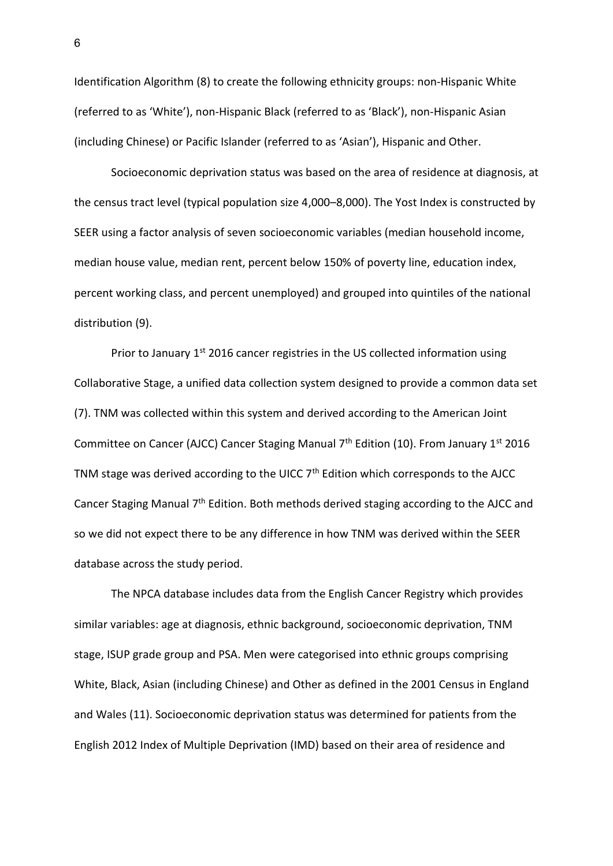Identification Algorithm (8) to create the following ethnicity groups: non-Hispanic White (referred to as 'White'), non-Hispanic Black (referred to as 'Black'), non-Hispanic Asian (including Chinese) or Pacific Islander (referred to as 'Asian'), Hispanic and Other.

Socioeconomic deprivation status was based on the area of residence at diagnosis, at the census tract level (typical population size 4,000–8,000). The Yost Index is constructed by SEER using a factor analysis of seven socioeconomic variables (median household income, median house value, median rent, percent below 150% of poverty line, education index, percent working class, and percent unemployed) and grouped into quintiles of the national distribution (9).

Prior to January 1<sup>st</sup> 2016 cancer registries in the US collected information using Collaborative Stage, a unified data collection system designed to provide a common data set (7). TNM was collected within this system and derived according to the American Joint Committee on Cancer (AJCC) Cancer Staging Manual  $7<sup>th</sup>$  Edition (10). From January 1<sup>st</sup> 2016 TNM stage was derived according to the UICC  $7<sup>th</sup>$  Edition which corresponds to the AJCC Cancer Staging Manual  $7<sup>th</sup>$  Edition. Both methods derived staging according to the AJCC and so we did not expect there to be any difference in how TNM was derived within the SEER database across the study period.

The NPCA database includes data from the English Cancer Registry which provides similar variables: age at diagnosis, ethnic background, socioeconomic deprivation, TNM stage, ISUP grade group and PSA. Men were categorised into ethnic groups comprising White, Black, Asian (including Chinese) and Other as defined in the 2001 Census in England and Wales (11). Socioeconomic deprivation status was determined for patients from the English 2012 Index of Multiple Deprivation (IMD) based on their area of residence and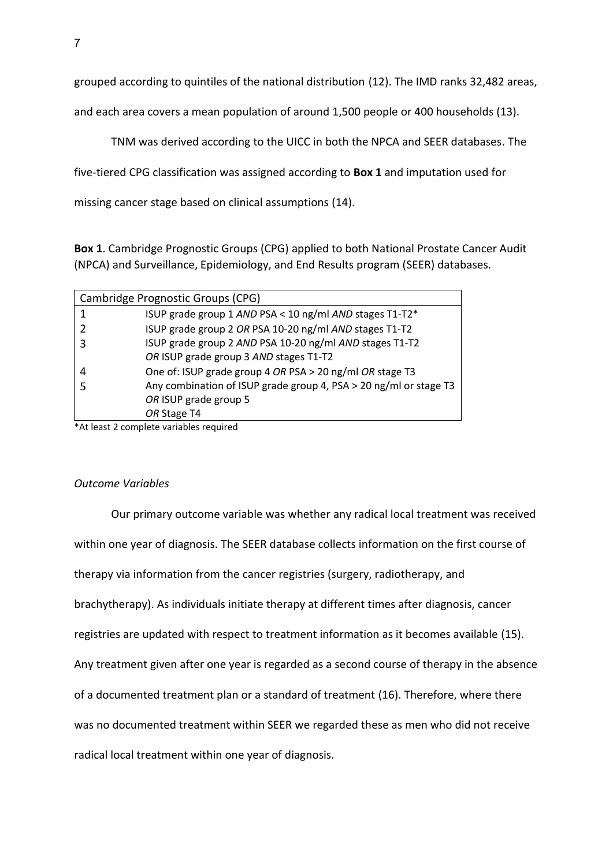grouped according to quintiles of the national distribution (12). The IMD ranks 32,482 areas,

and each area covers a mean population of around 1,500 people or 400 households (13).

TNM was derived according to the UICC in both the NPCA and SEER databases. The

five-tiered CPG classification was assigned according to **Box 1** and imputation used for

missing cancer stage based on clinical assumptions (14).

**Box 1**. Cambridge Prognostic Groups (CPG) applied to both National Prostate Cancer Audit (NPCA) and Surveillance, Epidemiology, and End Results program (SEER) databases.

| Cambridge Prognostic Groups (CPG) |                                                                   |  |  |  |  |
|-----------------------------------|-------------------------------------------------------------------|--|--|--|--|
|                                   | ISUP grade group 1 AND PSA < 10 ng/ml AND stages T1-T2*           |  |  |  |  |
|                                   | ISUP grade group 2 OR PSA 10-20 ng/ml AND stages T1-T2            |  |  |  |  |
| 3                                 | ISUP grade group 2 AND PSA 10-20 ng/ml AND stages T1-T2           |  |  |  |  |
|                                   | OR ISUP grade group 3 AND stages T1-T2                            |  |  |  |  |
| 4                                 | One of: ISUP grade group 4 OR PSA > 20 ng/ml OR stage T3          |  |  |  |  |
|                                   | Any combination of ISUP grade group 4, PSA > 20 ng/ml or stage T3 |  |  |  |  |
|                                   | OR ISUP grade group 5                                             |  |  |  |  |
|                                   | OR Stage T4                                                       |  |  |  |  |

\*At least 2 complete variables required

## *Outcome Variables*

Our primary outcome variable was whether any radical local treatment was received within one year of diagnosis. The SEER database collects information on the first course of therapy via information from the cancer registries (surgery, radiotherapy, and brachytherapy). As individuals initiate therapy at different times after diagnosis, cancer registries are updated with respect to treatment information as it becomes available (15). Any treatment given after one year is regarded as a second course of therapy in the absence of a documented treatment plan or a standard of treatment (16). Therefore, where there was no documented treatment within SEER we regarded these as men who did not receive radical local treatment within one year of diagnosis.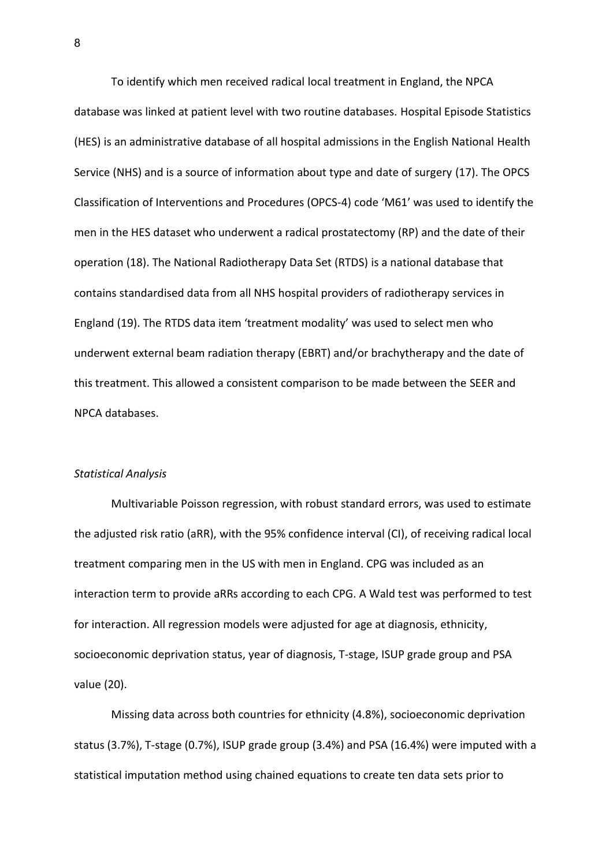To identify which men received radical local treatment in England, the NPCA database was linked at patient level with two routine databases. Hospital Episode Statistics (HES) is an administrative database of all hospital admissions in the English National Health Service (NHS) and is a source of information about type and date of surgery (17). The OPCS Classification of Interventions and Procedures (OPCS-4) code 'M61' was used to identify the men in the HES dataset who underwent a radical prostatectomy (RP) and the date of their operation (18). The National Radiotherapy Data Set (RTDS) is a national database that contains standardised data from all NHS hospital providers of radiotherapy services in England (19). The RTDS data item 'treatment modality' was used to select men who underwent external beam radiation therapy (EBRT) and/or brachytherapy and the date of this treatment. This allowed a consistent comparison to be made between the SEER and NPCA databases.

#### *Statistical Analysis*

Multivariable Poisson regression, with robust standard errors, was used to estimate the adjusted risk ratio (aRR), with the 95% confidence interval (CI), of receiving radical local treatment comparing men in the US with men in England. CPG was included as an interaction term to provide aRRs according to each CPG. A Wald test was performed to test for interaction. All regression models were adjusted for age at diagnosis, ethnicity, socioeconomic deprivation status, year of diagnosis, T-stage, ISUP grade group and PSA value (20).

Missing data across both countries for ethnicity (4.8%), socioeconomic deprivation status (3.7%), T-stage (0.7%), ISUP grade group (3.4%) and PSA (16.4%) were imputed with a statistical imputation method using chained equations to create ten data sets prior to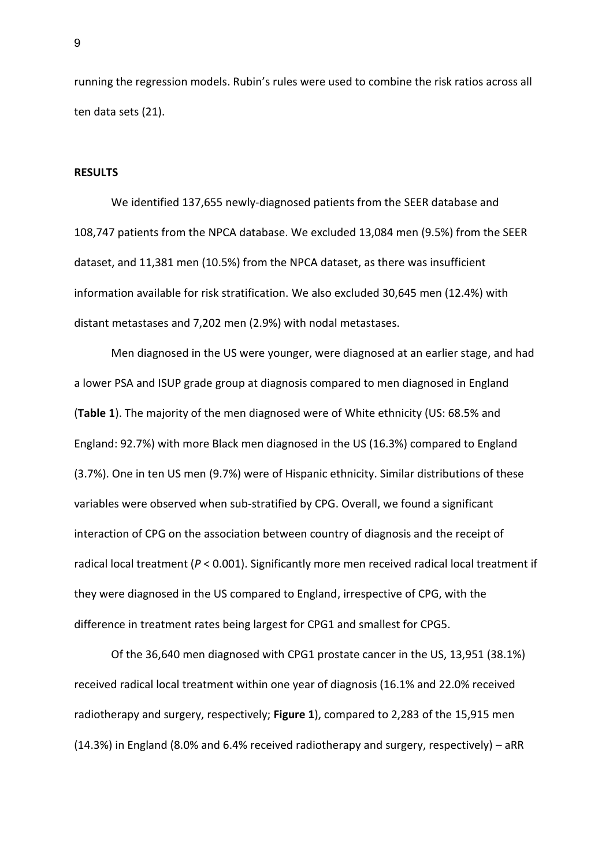running the regression models. Rubin's rules were used to combine the risk ratios across all ten data sets (21).

#### **RESULTS**

We identified 137,655 newly-diagnosed patients from the SEER database and 108,747 patients from the NPCA database. We excluded 13,084 men (9.5%) from the SEER dataset, and 11,381 men (10.5%) from the NPCA dataset, as there was insufficient information available for risk stratification. We also excluded 30,645 men (12.4%) with distant metastases and 7,202 men (2.9%) with nodal metastases.

Men diagnosed in the US were younger, were diagnosed at an earlier stage, and had a lower PSA and ISUP grade group at diagnosis compared to men diagnosed in England (**Table 1**). The majority of the men diagnosed were of White ethnicity (US: 68.5% and England: 92.7%) with more Black men diagnosed in the US (16.3%) compared to England (3.7%). One in ten US men (9.7%) were of Hispanic ethnicity. Similar distributions of these variables were observed when sub-stratified by CPG. Overall, we found a significant interaction of CPG on the association between country of diagnosis and the receipt of radical local treatment (*P* < 0.001). Significantly more men received radical local treatment if they were diagnosed in the US compared to England, irrespective of CPG, with the difference in treatment rates being largest for CPG1 and smallest for CPG5.

Of the 36,640 men diagnosed with CPG1 prostate cancer in the US, 13,951 (38.1%) received radical local treatment within one year of diagnosis (16.1% and 22.0% received radiotherapy and surgery, respectively; **Figure 1**), compared to 2,283 of the 15,915 men (14.3%) in England (8.0% and 6.4% received radiotherapy and surgery, respectively) – aRR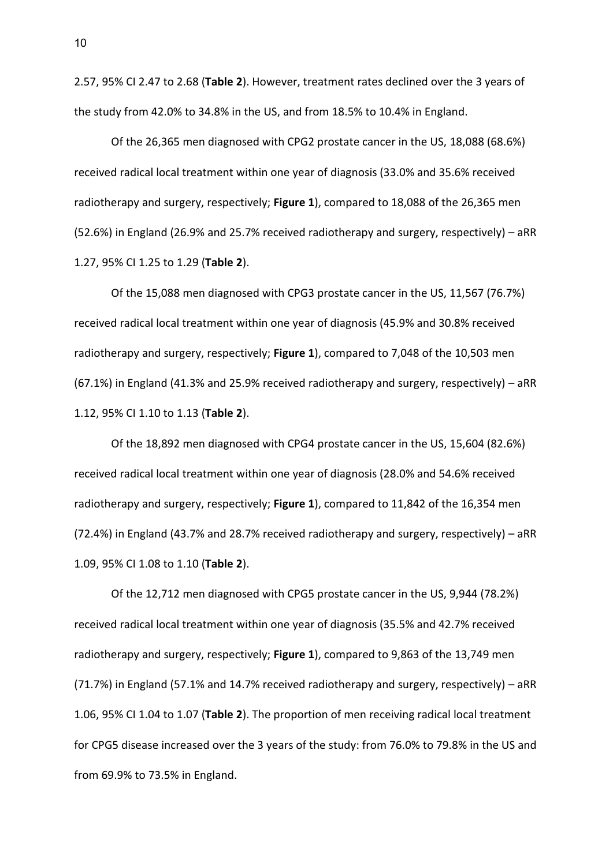2.57, 95% CI 2.47 to 2.68 (**Table 2**). However, treatment rates declined over the 3 years of the study from 42.0% to 34.8% in the US, and from 18.5% to 10.4% in England.

Of the 26,365 men diagnosed with CPG2 prostate cancer in the US, 18,088 (68.6%) received radical local treatment within one year of diagnosis (33.0% and 35.6% received radiotherapy and surgery, respectively; **Figure 1**), compared to 18,088 of the 26,365 men (52.6%) in England (26.9% and 25.7% received radiotherapy and surgery, respectively) – aRR 1.27, 95% CI 1.25 to 1.29 (**Table 2**).

Of the 15,088 men diagnosed with CPG3 prostate cancer in the US, 11,567 (76.7%) received radical local treatment within one year of diagnosis (45.9% and 30.8% received radiotherapy and surgery, respectively; **Figure 1**), compared to 7,048 of the 10,503 men (67.1%) in England (41.3% and 25.9% received radiotherapy and surgery, respectively) – aRR 1.12, 95% CI 1.10 to 1.13 (**Table 2**).

Of the 18,892 men diagnosed with CPG4 prostate cancer in the US, 15,604 (82.6%) received radical local treatment within one year of diagnosis (28.0% and 54.6% received radiotherapy and surgery, respectively; **Figure 1**), compared to 11,842 of the 16,354 men (72.4%) in England (43.7% and 28.7% received radiotherapy and surgery, respectively) – aRR 1.09, 95% CI 1.08 to 1.10 (**Table 2**).

Of the 12,712 men diagnosed with CPG5 prostate cancer in the US, 9,944 (78.2%) received radical local treatment within one year of diagnosis (35.5% and 42.7% received radiotherapy and surgery, respectively; **Figure 1**), compared to 9,863 of the 13,749 men (71.7%) in England (57.1% and 14.7% received radiotherapy and surgery, respectively) – aRR 1.06, 95% CI 1.04 to 1.07 (**Table 2**). The proportion of men receiving radical local treatment for CPG5 disease increased over the 3 years of the study: from 76.0% to 79.8% in the US and from 69.9% to 73.5% in England.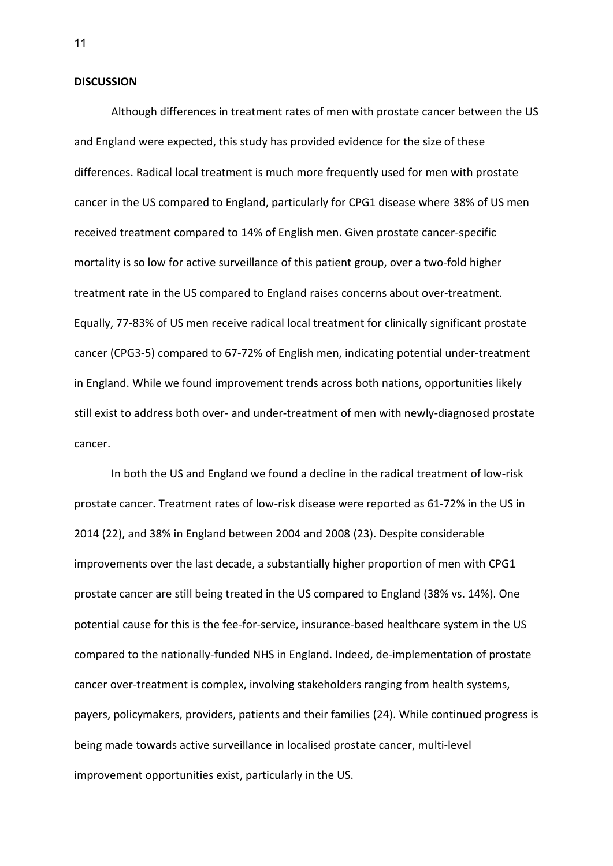#### **DISCUSSION**

Although differences in treatment rates of men with prostate cancer between the US and England were expected, this study has provided evidence for the size of these differences. Radical local treatment is much more frequently used for men with prostate cancer in the US compared to England, particularly for CPG1 disease where 38% of US men received treatment compared to 14% of English men. Given prostate cancer-specific mortality is so low for active surveillance of this patient group, over a two-fold higher treatment rate in the US compared to England raises concerns about over-treatment. Equally, 77-83% of US men receive radical local treatment for clinically significant prostate cancer (CPG3-5) compared to 67-72% of English men, indicating potential under-treatment in England. While we found improvement trends across both nations, opportunities likely still exist to address both over- and under-treatment of men with newly-diagnosed prostate cancer.

In both the US and England we found a decline in the radical treatment of low-risk prostate cancer. Treatment rates of low-risk disease were reported as 61-72% in the US in 2014 (22), and 38% in England between 2004 and 2008 (23). Despite considerable improvements over the last decade, a substantially higher proportion of men with CPG1 prostate cancer are still being treated in the US compared to England (38% vs. 14%). One potential cause for this is the fee-for-service, insurance-based healthcare system in the US compared to the nationally-funded NHS in England. Indeed, de-implementation of prostate cancer over-treatment is complex, involving stakeholders ranging from health systems, payers, policymakers, providers, patients and their families (24). While continued progress is being made towards active surveillance in localised prostate cancer, multi-level improvement opportunities exist, particularly in the US.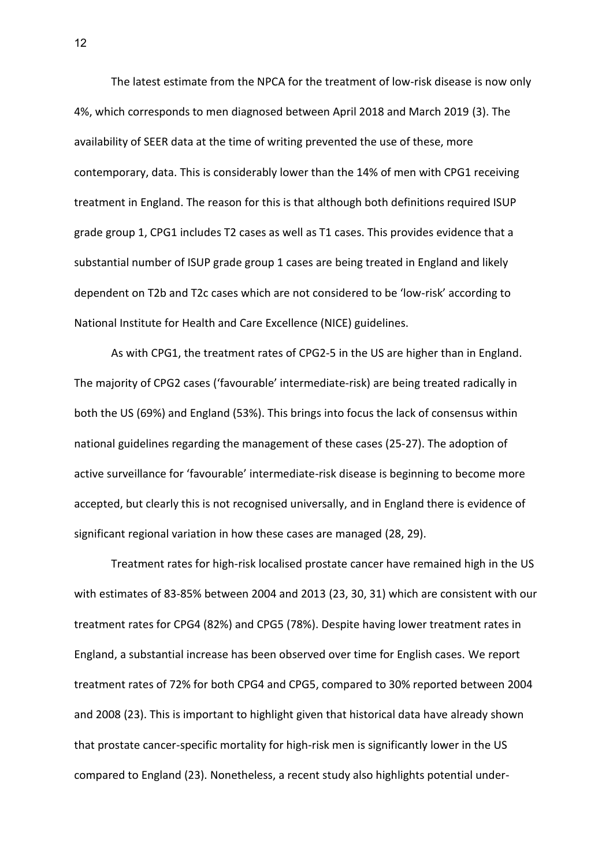The latest estimate from the NPCA for the treatment of low-risk disease is now only 4%, which corresponds to men diagnosed between April 2018 and March 2019 (3). The availability of SEER data at the time of writing prevented the use of these, more contemporary, data. This is considerably lower than the 14% of men with CPG1 receiving treatment in England. The reason for this is that although both definitions required ISUP grade group 1, CPG1 includes T2 cases as well as T1 cases. This provides evidence that a substantial number of ISUP grade group 1 cases are being treated in England and likely dependent on T2b and T2c cases which are not considered to be 'low-risk' according to National Institute for Health and Care Excellence (NICE) guidelines.

As with CPG1, the treatment rates of CPG2-5 in the US are higher than in England. The majority of CPG2 cases ('favourable' intermediate-risk) are being treated radically in both the US (69%) and England (53%). This brings into focus the lack of consensus within national guidelines regarding the management of these cases (25-27). The adoption of active surveillance for 'favourable' intermediate-risk disease is beginning to become more accepted, but clearly this is not recognised universally, and in England there is evidence of significant regional variation in how these cases are managed (28, 29).

Treatment rates for high-risk localised prostate cancer have remained high in the US with estimates of 83-85% between 2004 and 2013 (23, 30, 31) which are consistent with our treatment rates for CPG4 (82%) and CPG5 (78%). Despite having lower treatment rates in England, a substantial increase has been observed over time for English cases. We report treatment rates of 72% for both CPG4 and CPG5, compared to 30% reported between 2004 and 2008 (23). This is important to highlight given that historical data have already shown that prostate cancer-specific mortality for high-risk men is significantly lower in the US compared to England (23). Nonetheless, a recent study also highlights potential under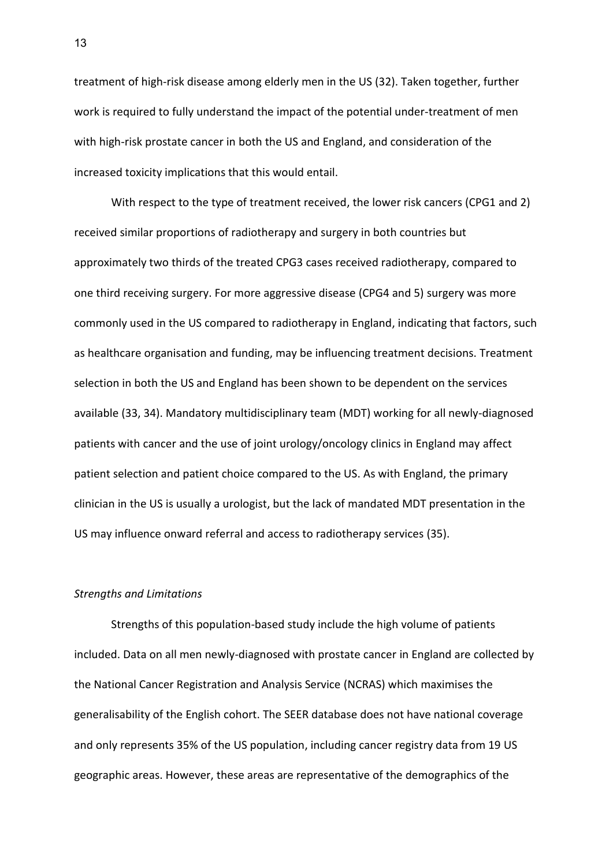treatment of high-risk disease among elderly men in the US (32). Taken together, further work is required to fully understand the impact of the potential under-treatment of men with high-risk prostate cancer in both the US and England, and consideration of the increased toxicity implications that this would entail.

With respect to the type of treatment received, the lower risk cancers (CPG1 and 2) received similar proportions of radiotherapy and surgery in both countries but approximately two thirds of the treated CPG3 cases received radiotherapy, compared to one third receiving surgery. For more aggressive disease (CPG4 and 5) surgery was more commonly used in the US compared to radiotherapy in England, indicating that factors, such as healthcare organisation and funding, may be influencing treatment decisions. Treatment selection in both the US and England has been shown to be dependent on the services available (33, 34). Mandatory multidisciplinary team (MDT) working for all newly-diagnosed patients with cancer and the use of joint urology/oncology clinics in England may affect patient selection and patient choice compared to the US. As with England, the primary clinician in the US is usually a urologist, but the lack of mandated MDT presentation in the US may influence onward referral and access to radiotherapy services (35).

### *Strengths and Limitations*

Strengths of this population-based study include the high volume of patients included. Data on all men newly-diagnosed with prostate cancer in England are collected by the National Cancer Registration and Analysis Service (NCRAS) which maximises the generalisability of the English cohort. The SEER database does not have national coverage and only represents 35% of the US population, including cancer registry data from 19 US geographic areas. However, these areas are representative of the demographics of the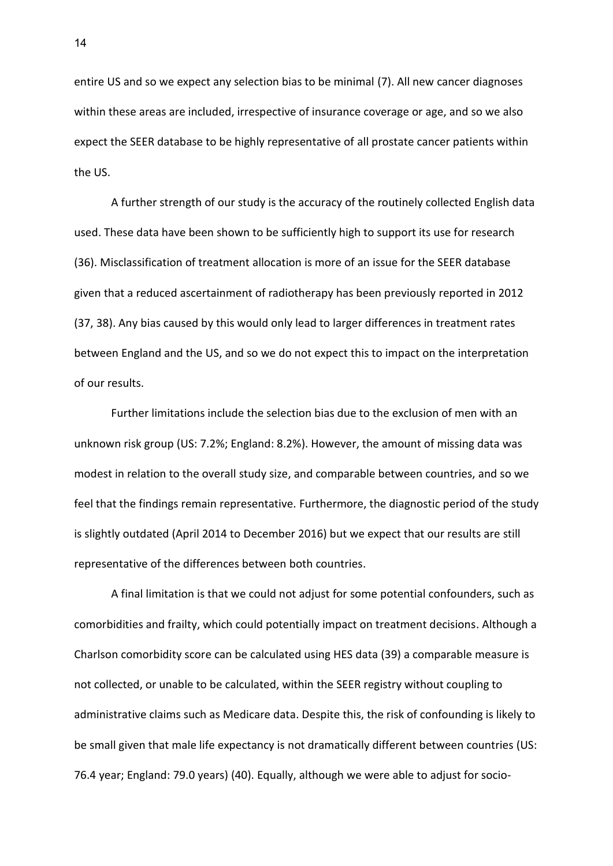entire US and so we expect any selection bias to be minimal (7). All new cancer diagnoses within these areas are included, irrespective of insurance coverage or age, and so we also expect the SEER database to be highly representative of all prostate cancer patients within the US.

A further strength of our study is the accuracy of the routinely collected English data used. These data have been shown to be sufficiently high to support its use for research (36). Misclassification of treatment allocation is more of an issue for the SEER database given that a reduced ascertainment of radiotherapy has been previously reported in 2012 (37, 38). Any bias caused by this would only lead to larger differences in treatment rates between England and the US, and so we do not expect this to impact on the interpretation of our results.

Further limitations include the selection bias due to the exclusion of men with an unknown risk group (US: 7.2%; England: 8.2%). However, the amount of missing data was modest in relation to the overall study size, and comparable between countries, and so we feel that the findings remain representative. Furthermore, the diagnostic period of the study is slightly outdated (April 2014 to December 2016) but we expect that our results are still representative of the differences between both countries.

A final limitation is that we could not adjust for some potential confounders, such as comorbidities and frailty, which could potentially impact on treatment decisions. Although a Charlson comorbidity score can be calculated using HES data (39) a comparable measure is not collected, or unable to be calculated, within the SEER registry without coupling to administrative claims such as Medicare data. Despite this, the risk of confounding is likely to be small given that male life expectancy is not dramatically different between countries (US: 76.4 year; England: 79.0 years) (40). Equally, although we were able to adjust for socio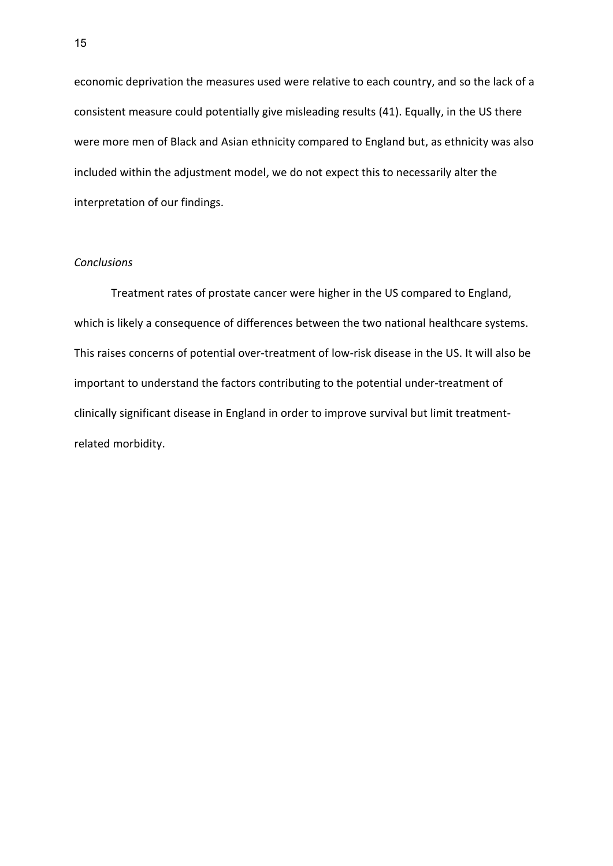economic deprivation the measures used were relative to each country, and so the lack of a consistent measure could potentially give misleading results (41). Equally, in the US there were more men of Black and Asian ethnicity compared to England but, as ethnicity was also included within the adjustment model, we do not expect this to necessarily alter the interpretation of our findings.

#### *Conclusions*

Treatment rates of prostate cancer were higher in the US compared to England, which is likely a consequence of differences between the two national healthcare systems. This raises concerns of potential over-treatment of low-risk disease in the US. It will also be important to understand the factors contributing to the potential under-treatment of clinically significant disease in England in order to improve survival but limit treatmentrelated morbidity.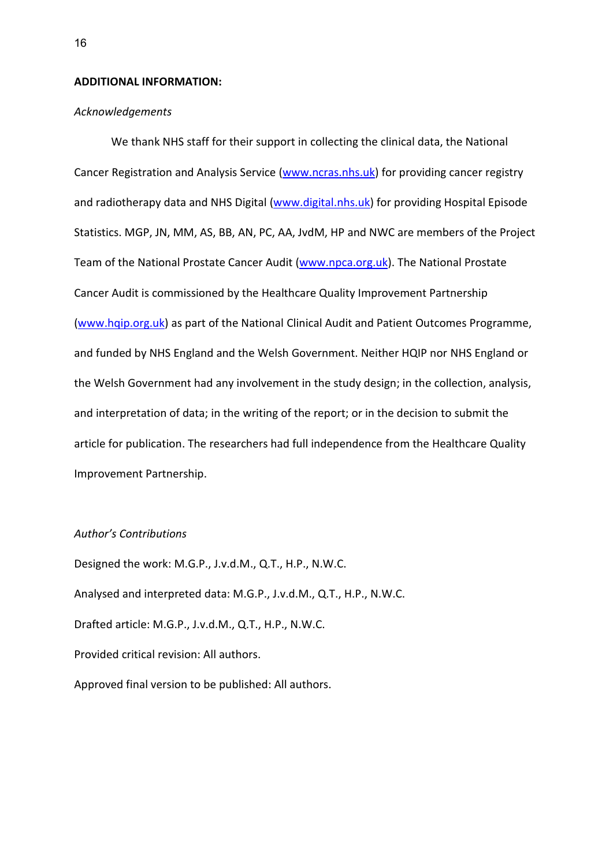## **ADDITIONAL INFORMATION:**

## *Acknowledgements*

We thank NHS staff for their support in collecting the clinical data, the National Cancer Registration and Analysis Service [\(www.ncras.nhs.uk\)](http://www.ncras.nhs.uk/) for providing cancer registry and radiotherapy data and NHS Digital [\(www.digital.nhs.uk\)](http://www.digital.nhs.uk/) for providing Hospital Episode Statistics. MGP, JN, MM, AS, BB, AN, PC, AA, JvdM, HP and NWC are members of the Project Team of the National Prostate Cancer Audit [\(www.npca.org.uk\)](http://www.npca.org.uk/). The National Prostate Cancer Audit is commissioned by the Healthcare Quality Improvement Partnership [\(www.hqip.org.uk\)](http://www.hqip.org.uk/) as part of the National Clinical Audit and Patient Outcomes Programme, and funded by NHS England and the Welsh Government. Neither HQIP nor NHS England or the Welsh Government had any involvement in the study design; in the collection, analysis, and interpretation of data; in the writing of the report; or in the decision to submit the article for publication. The researchers had full independence from the Healthcare Quality Improvement Partnership.

### *Author's Contributions*

Designed the work: M.G.P., J.v.d.M., Q.T., H.P., N.W.C. Analysed and interpreted data: M.G.P., J.v.d.M., Q.T., H.P., N.W.C. Drafted article: M.G.P., J.v.d.M., Q.T., H.P., N.W.C. Provided critical revision: All authors. Approved final version to be published: All authors.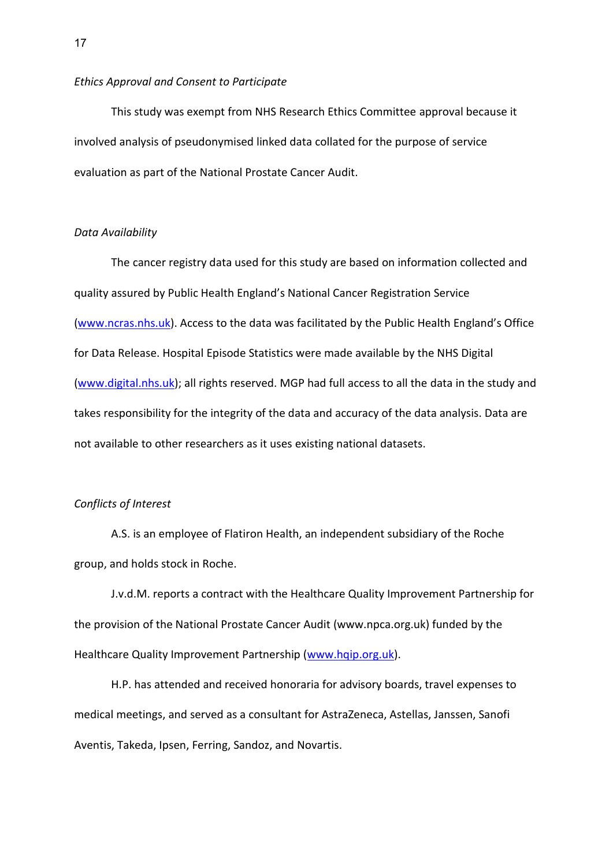#### *Ethics Approval and Consent to Participate*

This study was exempt from NHS Research Ethics Committee approval because it involved analysis of pseudonymised linked data collated for the purpose of service evaluation as part of the National Prostate Cancer Audit.

## *Data Availability*

The cancer registry data used for this study are based on information collected and quality assured by Public Health England's National Cancer Registration Service [\(www.ncras.nhs.uk\)](http://www.ncras.nhs.uk/). Access to the data was facilitated by the Public Health England's Office for Data Release. Hospital Episode Statistics were made available by the NHS Digital [\(www.digital.nhs.uk\)](http://www.digital.nhs.uk/); all rights reserved. MGP had full access to all the data in the study and takes responsibility for the integrity of the data and accuracy of the data analysis. Data are not available to other researchers as it uses existing national datasets.

## *Conflicts of Interest*

A.S. is an employee of Flatiron Health, an independent subsidiary of the Roche group, and holds stock in Roche.

J.v.d.M. reports a contract with the Healthcare Quality Improvement Partnership for the provision of the National Prostate Cancer Audit (www.npca.org.uk) funded by the Healthcare Quality Improvement Partnership [\(www.hqip.org.uk\)](http://www.hqip.org.uk/).

H.P. has attended and received honoraria for advisory boards, travel expenses to medical meetings, and served as a consultant for AstraZeneca, Astellas, Janssen, Sanofi Aventis, Takeda, Ipsen, Ferring, Sandoz, and Novartis.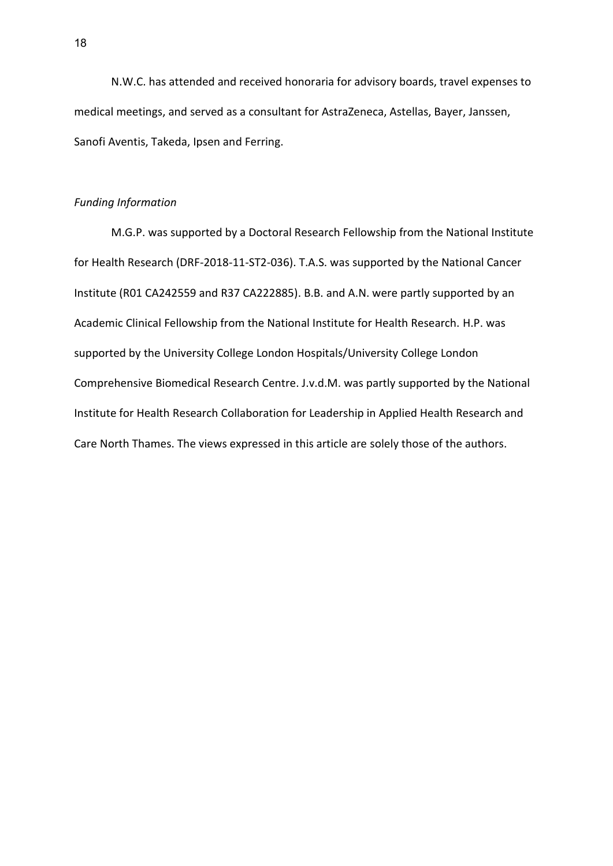N.W.C. has attended and received honoraria for advisory boards, travel expenses to medical meetings, and served as a consultant for AstraZeneca, Astellas, Bayer, Janssen, Sanofi Aventis, Takeda, Ipsen and Ferring.

### *Funding Information*

M.G.P. was supported by a Doctoral Research Fellowship from the National Institute for Health Research (DRF-2018-11-ST2-036). T.A.S. was supported by the National Cancer Institute (R01 CA242559 and R37 CA222885). B.B. and A.N. were partly supported by an Academic Clinical Fellowship from the National Institute for Health Research. H.P. was supported by the University College London Hospitals/University College London Comprehensive Biomedical Research Centre. J.v.d.M. was partly supported by the National Institute for Health Research Collaboration for Leadership in Applied Health Research and Care North Thames. The views expressed in this article are solely those of the authors.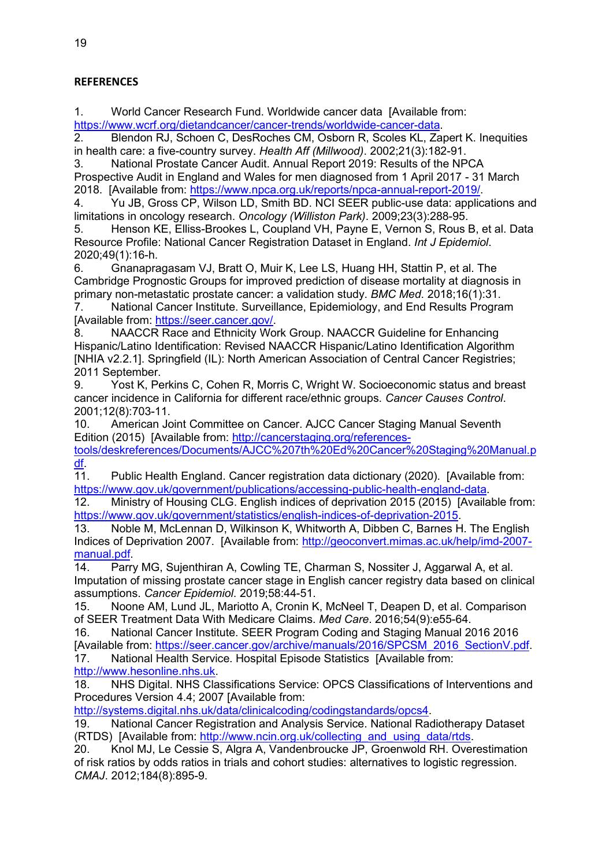## **REFERENCES**

1. World Cancer Research Fund. Worldwide cancer data [Available from: [https://www.wcrf.org/dietandcancer/cancer-trends/worldwide-cancer-data.](https://www.wcrf.org/dietandcancer/cancer-trends/worldwide-cancer-data)

2. Blendon RJ, Schoen C, DesRoches CM, Osborn R, Scoles KL, Zapert K. Inequities in health care: a five-country survey. *Health Aff (Millwood)*. 2002;21(3):182-91.

3. National Prostate Cancer Audit. Annual Report 2019: Results of the NPCA Prospective Audit in England and Wales for men diagnosed from 1 April 2017 - 31 March 2018. [Available from: [https://www.npca.org.uk/reports/npca-annual-report-2019/.](https://www.npca.org.uk/reports/npca-annual-report-2019/)

4. Yu JB, Gross CP, Wilson LD, Smith BD. NCI SEER public-use data: applications and limitations in oncology research. *Oncology (Williston Park)*. 2009;23(3):288-95.

5. Henson KE, Elliss-Brookes L, Coupland VH, Payne E, Vernon S, Rous B, et al. Data Resource Profile: National Cancer Registration Dataset in England. *Int J Epidemiol*. 2020;49(1):16-h.

6. Gnanapragasam VJ, Bratt O, Muir K, Lee LS, Huang HH, Stattin P, et al. The Cambridge Prognostic Groups for improved prediction of disease mortality at diagnosis in primary non-metastatic prostate cancer: a validation study. *BMC Med*. 2018;16(1):31.

7. National Cancer Institute. Surveillance, Epidemiology, and End Results Program [Available from: [https://seer.cancer.gov/.](https://seer.cancer.gov/)

8. NAACCR Race and Ethnicity Work Group. NAACCR Guideline for Enhancing Hispanic/Latino Identification: Revised NAACCR Hispanic/Latino Identification Algorithm [NHIA v2.2.1]. Springfield (IL): North American Association of Central Cancer Registries; 2011 September.

9. Yost K, Perkins C, Cohen R, Morris C, Wright W. Socioeconomic status and breast cancer incidence in California for different race/ethnic groups. *Cancer Causes Control*. 2001;12(8):703-11.

10. American Joint Committee on Cancer. AJCC Cancer Staging Manual Seventh Edition (2015) [Available from: [http://cancerstaging.org/references-](http://cancerstaging.org/references-tools/deskreferences/Documents/AJCC%207th%20Ed%20Cancer%20Staging%20Manual.pdf)

[tools/deskreferences/Documents/AJCC%207th%20Ed%20Cancer%20Staging%20Manual.p](http://cancerstaging.org/references-tools/deskreferences/Documents/AJCC%207th%20Ed%20Cancer%20Staging%20Manual.pdf) [df.](http://cancerstaging.org/references-tools/deskreferences/Documents/AJCC%207th%20Ed%20Cancer%20Staging%20Manual.pdf)

11. Public Health England. Cancer registration data dictionary (2020). [Available from: [https://www.gov.uk/government/publications/accessing-public-health-england-data.](https://www.gov.uk/government/publications/accessing-public-health-england-data)

12. Ministry of Housing CLG. English indices of deprivation 2015 (2015) [Available from: [https://www.gov.uk/government/statistics/english-indices-of-deprivation-2015.](https://www.gov.uk/government/statistics/english-indices-of-deprivation-2015)

13. Noble M, McLennan D, Wilkinson K, Whitworth A, Dibben C, Barnes H. The English Indices of Deprivation 2007. [Available from: [http://geoconvert.mimas.ac.uk/help/imd-2007](http://geoconvert.mimas.ac.uk/help/imd-2007-manual.pdf) [manual.pdf.](http://geoconvert.mimas.ac.uk/help/imd-2007-manual.pdf)

14. Parry MG, Sujenthiran A, Cowling TE, Charman S, Nossiter J, Aggarwal A, et al. Imputation of missing prostate cancer stage in English cancer registry data based on clinical assumptions. *Cancer Epidemiol*. 2019;58:44-51.

15. Noone AM, Lund JL, Mariotto A, Cronin K, McNeel T, Deapen D, et al. Comparison of SEER Treatment Data With Medicare Claims. *Med Care*. 2016;54(9):e55-64.

16. National Cancer Institute. SEER Program Coding and Staging Manual 2016 2016 [Available from: [https://seer.cancer.gov/archive/manuals/2016/SPCSM\\_2016\\_SectionV.pdf.](https://seer.cancer.gov/archive/manuals/2016/SPCSM_2016_SectionV.pdf)

17. National Health Service. Hospital Episode Statistics [Available from: [http://www.hesonline.nhs.uk.](http://www.hesonline.nhs.uk/)

18. NHS Digital. NHS Classifications Service: OPCS Classifications of Interventions and Procedures Version 4.4; 2007 [Available from:

[http://systems.digital.nhs.uk/data/clinicalcoding/codingstandards/opcs4.](http://systems.digital.nhs.uk/data/clinicalcoding/codingstandards/opcs4)

19. National Cancer Registration and Analysis Service. National Radiotherapy Dataset (RTDS) [Available from: [http://www.ncin.org.uk/collecting\\_and\\_using\\_data/rtds.](http://www.ncin.org.uk/collecting_and_using_data/rtds)

20. Knol MJ, Le Cessie S, Algra A, Vandenbroucke JP, Groenwold RH. Overestimation of risk ratios by odds ratios in trials and cohort studies: alternatives to logistic regression. *CMAJ*. 2012;184(8):895-9.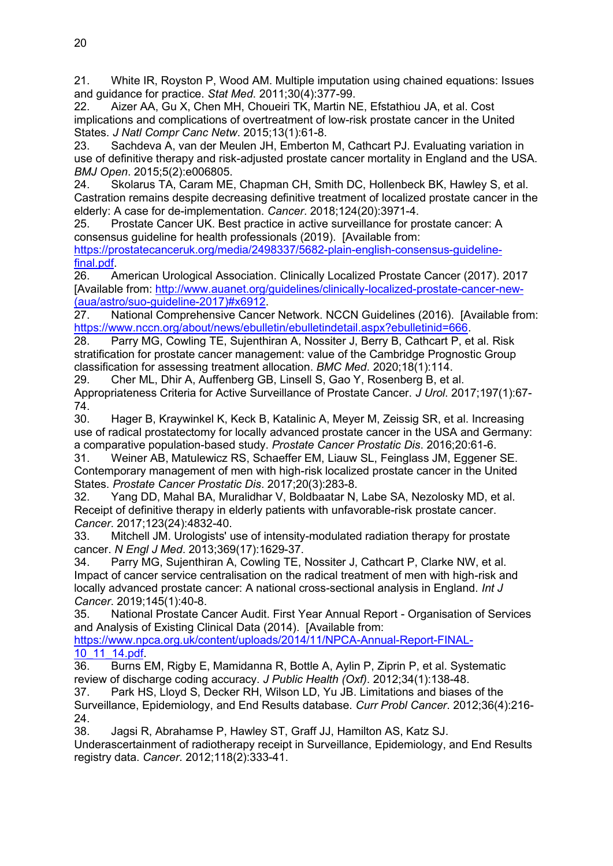21. White IR, Royston P, Wood AM. Multiple imputation using chained equations: Issues and guidance for practice. *Stat Med*. 2011;30(4):377-99.

22. Aizer AA, Gu X, Chen MH, Choueiri TK, Martin NE, Efstathiou JA, et al. Cost implications and complications of overtreatment of low-risk prostate cancer in the United States. *J Natl Compr Canc Netw*. 2015;13(1):61-8.

23. Sachdeva A, van der Meulen JH, Emberton M, Cathcart PJ. Evaluating variation in use of definitive therapy and risk-adjusted prostate cancer mortality in England and the USA. *BMJ Open*. 2015;5(2):e006805.

24. Skolarus TA, Caram ME, Chapman CH, Smith DC, Hollenbeck BK, Hawley S, et al. Castration remains despite decreasing definitive treatment of localized prostate cancer in the elderly: A case for de-implementation. *Cancer*. 2018;124(20):3971-4.

25. Prostate Cancer UK. Best practice in active surveillance for prostate cancer: A consensus guideline for health professionals (2019). [Available from:

[https://prostatecanceruk.org/media/2498337/5682-plain-english-consensus-guideline](https://prostatecanceruk.org/media/2498337/5682-plain-english-consensus-guideline-final.pdf)[final.pdf.](https://prostatecanceruk.org/media/2498337/5682-plain-english-consensus-guideline-final.pdf)

26. American Urological Association. Clinically Localized Prostate Cancer (2017). 2017 [Available from: [http://www.auanet.org/guidelines/clinically-localized-prostate-cancer-new-](http://www.auanet.org/guidelines/clinically-localized-prostate-cancer-new-(aua/astro/suo-guideline-2017)#x6912) [\(aua/astro/suo-guideline-2017\)#x6912.](http://www.auanet.org/guidelines/clinically-localized-prostate-cancer-new-(aua/astro/suo-guideline-2017)#x6912)

27. National Comprehensive Cancer Network. NCCN Guidelines (2016). [Available from: [https://www.nccn.org/about/news/ebulletin/ebulletindetail.aspx?ebulletinid=666.](https://www.nccn.org/about/news/ebulletin/ebulletindetail.aspx?ebulletinid=666)

28. Parry MG, Cowling TE, Sujenthiran A, Nossiter J, Berry B, Cathcart P, et al. Risk stratification for prostate cancer management: value of the Cambridge Prognostic Group classification for assessing treatment allocation. *BMC Med*. 2020;18(1):114.

29. Cher ML, Dhir A, Auffenberg GB, Linsell S, Gao Y, Rosenberg B, et al. Appropriateness Criteria for Active Surveillance of Prostate Cancer. *J Urol*. 2017;197(1):67- 74.

30. Hager B, Kraywinkel K, Keck B, Katalinic A, Meyer M, Zeissig SR, et al. Increasing use of radical prostatectomy for locally advanced prostate cancer in the USA and Germany: a comparative population-based study. *Prostate Cancer Prostatic Dis*. 2016;20:61-6.

31. Weiner AB, Matulewicz RS, Schaeffer EM, Liauw SL, Feinglass JM, Eggener SE. Contemporary management of men with high-risk localized prostate cancer in the United States. *Prostate Cancer Prostatic Dis*. 2017;20(3):283-8.

32. Yang DD, Mahal BA, Muralidhar V, Boldbaatar N, Labe SA, Nezolosky MD, et al. Receipt of definitive therapy in elderly patients with unfavorable-risk prostate cancer. *Cancer*. 2017;123(24):4832-40.

33. Mitchell JM. Urologists' use of intensity-modulated radiation therapy for prostate cancer. *N Engl J Med*. 2013;369(17):1629-37.

34. Parry MG, Sujenthiran A, Cowling TE, Nossiter J, Cathcart P, Clarke NW, et al. Impact of cancer service centralisation on the radical treatment of men with high-risk and locally advanced prostate cancer: A national cross-sectional analysis in England. *Int J Cancer*. 2019;145(1):40-8.

35. National Prostate Cancer Audit. First Year Annual Report - Organisation of Services and Analysis of Existing Clinical Data (2014). [Available from:

[https://www.npca.org.uk/content/uploads/2014/11/NPCA-Annual-Report-FINAL-](https://www.npca.org.uk/content/uploads/2014/11/NPCA-Annual-Report-FINAL-10_11_14.pdf)[10\\_11\\_14.pdf.](https://www.npca.org.uk/content/uploads/2014/11/NPCA-Annual-Report-FINAL-10_11_14.pdf)

36. Burns EM, Rigby E, Mamidanna R, Bottle A, Aylin P, Ziprin P, et al. Systematic review of discharge coding accuracy. *J Public Health (Oxf)*. 2012;34(1):138-48.

37. Park HS, Lloyd S, Decker RH, Wilson LD, Yu JB. Limitations and biases of the Surveillance, Epidemiology, and End Results database. *Curr Probl Cancer*. 2012;36(4):216- 24.

38. Jagsi R, Abrahamse P, Hawley ST, Graff JJ, Hamilton AS, Katz SJ.

Underascertainment of radiotherapy receipt in Surveillance, Epidemiology, and End Results registry data. *Cancer*. 2012;118(2):333-41.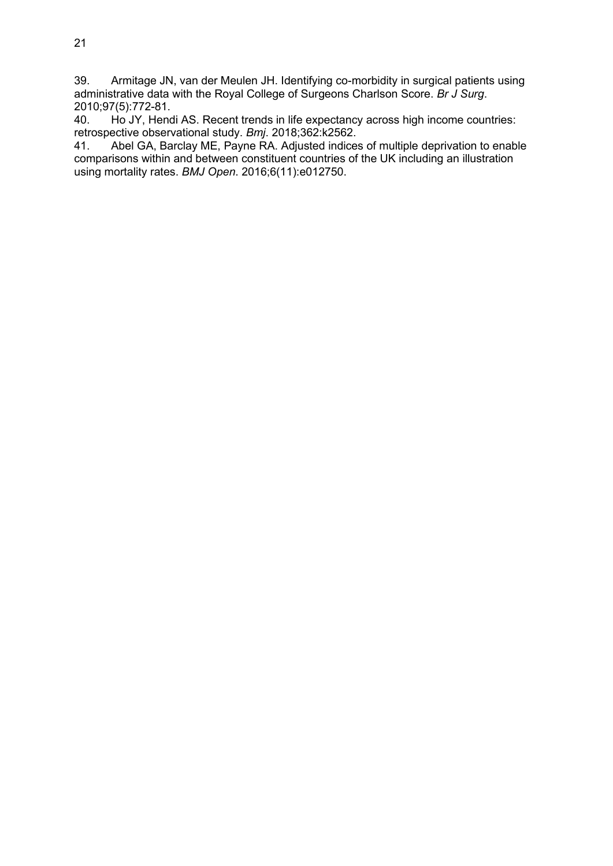39. Armitage JN, van der Meulen JH. Identifying co-morbidity in surgical patients using administrative data with the Royal College of Surgeons Charlson Score. *Br J Surg*. 2010;97(5):772-81.

40. Ho JY, Hendi AS. Recent trends in life expectancy across high income countries: retrospective observational study. *Bmj*. 2018;362:k2562.

Abel GA, Barclay ME, Payne RA. Adjusted indices of multiple deprivation to enable comparisons within and between constituent countries of the UK including an illustration using mortality rates. *BMJ Open*. 2016;6(11):e012750.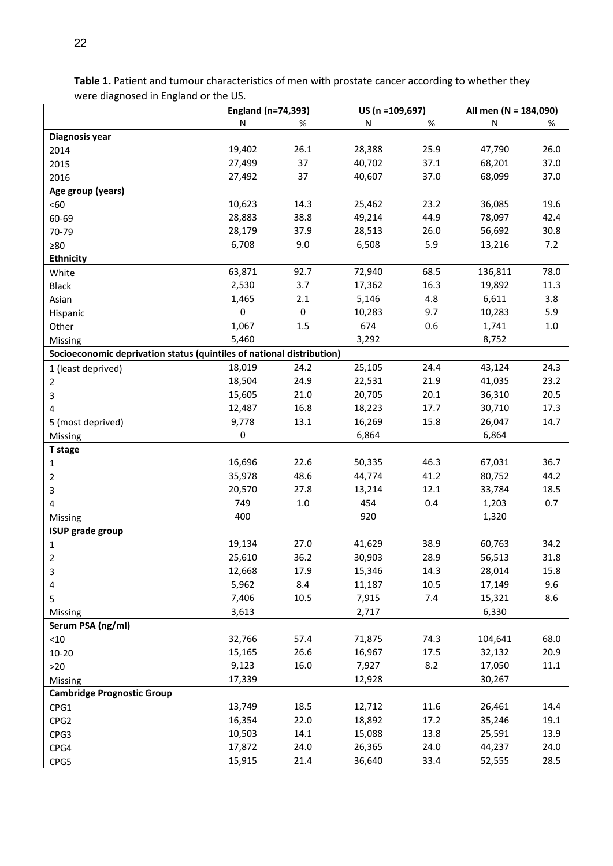|                                                                       | US (n =109,697)<br>England (n=74,393) |         | All men (N = 184,090) |      |           |         |  |  |  |  |
|-----------------------------------------------------------------------|---------------------------------------|---------|-----------------------|------|-----------|---------|--|--|--|--|
|                                                                       | N                                     | %       | N                     | %    | ${\sf N}$ | %       |  |  |  |  |
| Diagnosis year                                                        |                                       |         |                       |      |           |         |  |  |  |  |
| 2014                                                                  | 19,402                                | 26.1    | 28,388                | 25.9 | 47,790    | 26.0    |  |  |  |  |
| 2015                                                                  | 27,499                                | 37      | 40,702                | 37.1 | 68,201    | 37.0    |  |  |  |  |
| 2016                                                                  | 27,492                                | 37      | 40,607                | 37.0 | 68,099    | 37.0    |  |  |  |  |
| Age group (years)                                                     |                                       |         |                       |      |           |         |  |  |  |  |
| $60$                                                                  | 10,623                                | 14.3    | 25,462                | 23.2 | 36,085    | 19.6    |  |  |  |  |
| 60-69                                                                 | 28,883                                | 38.8    | 49,214                | 44.9 | 78,097    | 42.4    |  |  |  |  |
| 70-79                                                                 | 28,179                                | 37.9    | 28,513                | 26.0 | 56,692    | 30.8    |  |  |  |  |
| $\geq 80$                                                             | 6,708                                 | 9.0     | 6,508                 | 5.9  | 13,216    | 7.2     |  |  |  |  |
| Ethnicity                                                             |                                       |         |                       |      |           |         |  |  |  |  |
| White                                                                 | 63,871                                | 92.7    | 72,940                | 68.5 | 136,811   | 78.0    |  |  |  |  |
| <b>Black</b>                                                          | 2,530                                 | 3.7     | 17,362                | 16.3 | 19,892    | 11.3    |  |  |  |  |
| Asian                                                                 | 1,465                                 | 2.1     | 5,146                 | 4.8  | 6,611     | 3.8     |  |  |  |  |
| Hispanic                                                              | 0                                     | 0       | 10,283                | 9.7  | 10,283    | 5.9     |  |  |  |  |
| Other                                                                 | 1,067                                 | 1.5     | 674                   | 0.6  | 1,741     | $1.0\,$ |  |  |  |  |
| Missing                                                               | 5,460                                 |         | 3,292                 |      | 8,752     |         |  |  |  |  |
| Socioeconomic deprivation status (quintiles of national distribution) |                                       |         |                       |      |           |         |  |  |  |  |
| 1 (least deprived)                                                    | 18,019                                | 24.2    | 25,105                | 24.4 | 43,124    | 24.3    |  |  |  |  |
| 2                                                                     | 18,504                                | 24.9    | 22,531                | 21.9 | 41,035    | 23.2    |  |  |  |  |
| 3                                                                     | 15,605                                | 21.0    | 20,705                | 20.1 | 36,310    | 20.5    |  |  |  |  |
| 4                                                                     | 12,487                                | 16.8    | 18,223                | 17.7 | 30,710    | 17.3    |  |  |  |  |
| 5 (most deprived)                                                     | 9,778                                 | 13.1    | 16,269                | 15.8 | 26,047    | 14.7    |  |  |  |  |
| Missing                                                               | 0                                     |         | 6,864                 |      | 6,864     |         |  |  |  |  |
| T stage                                                               |                                       |         |                       |      |           |         |  |  |  |  |
| $\mathbf{1}$                                                          | 16,696                                | 22.6    | 50,335                | 46.3 | 67,031    | 36.7    |  |  |  |  |
| $\overline{2}$                                                        | 35,978                                | 48.6    | 44,774                | 41.2 | 80,752    | 44.2    |  |  |  |  |
| 3                                                                     | 20,570                                | 27.8    | 13,214                | 12.1 | 33,784    | 18.5    |  |  |  |  |
| 4                                                                     | 749                                   | $1.0\,$ | 454                   | 0.4  | 1,203     | 0.7     |  |  |  |  |
| Missing                                                               | 400                                   |         | 920                   |      | 1,320     |         |  |  |  |  |
| <b>ISUP grade group</b>                                               |                                       |         |                       |      |           |         |  |  |  |  |
| $\mathbf{1}$                                                          | 19,134                                | 27.0    | 41,629                | 38.9 | 60,763    | 34.2    |  |  |  |  |
| 2                                                                     | 25,610                                | 36.2    | 30,903                | 28.9 | 56,513    | 31.8    |  |  |  |  |
| 3                                                                     | 12,668                                | 17.9    | 15,346                | 14.3 | 28,014    | 15.8    |  |  |  |  |
| 4                                                                     | 5,962                                 | 8.4     | 11,187                | 10.5 | 17,149    | 9.6     |  |  |  |  |
| 5                                                                     | 7,406                                 | 10.5    | 7,915                 | 7.4  | 15,321    | 8.6     |  |  |  |  |
| Missing                                                               | 3,613                                 |         | 2,717                 |      | 6,330     |         |  |  |  |  |
| Serum PSA (ng/ml)                                                     |                                       |         |                       |      |           |         |  |  |  |  |
| $<10$                                                                 | 32,766                                | 57.4    | 71,875                | 74.3 | 104,641   | 68.0    |  |  |  |  |
| $10 - 20$                                                             | 15,165                                | 26.6    | 16,967                | 17.5 | 32,132    | 20.9    |  |  |  |  |
| $>20$                                                                 | 9,123                                 | 16.0    | 7,927                 | 8.2  | 17,050    | 11.1    |  |  |  |  |
| Missing                                                               | 17,339                                |         | 12,928                |      | 30,267    |         |  |  |  |  |
| <b>Cambridge Prognostic Group</b>                                     |                                       |         |                       |      |           |         |  |  |  |  |
| CPG1                                                                  | 13,749                                | 18.5    | 12,712                | 11.6 | 26,461    | 14.4    |  |  |  |  |
| CPG <sub>2</sub>                                                      | 16,354                                | 22.0    | 18,892                | 17.2 | 35,246    | 19.1    |  |  |  |  |
| CPG3                                                                  | 10,503                                | 14.1    | 15,088                | 13.8 | 25,591    | 13.9    |  |  |  |  |
| CPG4                                                                  | 17,872                                | 24.0    | 26,365                | 24.0 | 44,237    | 24.0    |  |  |  |  |
| CPG5                                                                  | 15,915                                | 21.4    | 36,640                | 33.4 | 52,555    | 28.5    |  |  |  |  |

**Table 1.** Patient and tumour characteristics of men with prostate cancer according to whether they were diagnosed in England or the US.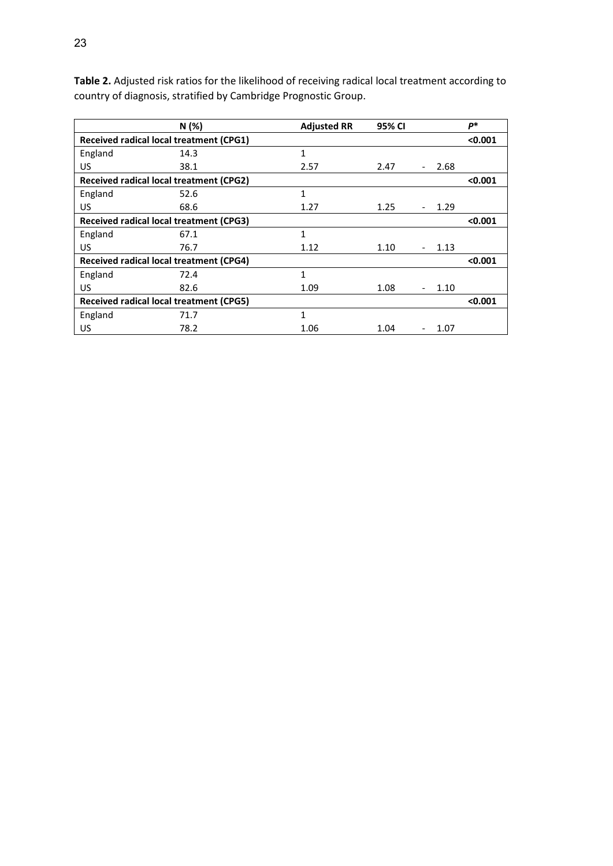|                                                | N(%)                                           | <b>Adjusted RR</b> | 95% CI |         | p*      |
|------------------------------------------------|------------------------------------------------|--------------------|--------|---------|---------|
|                                                | Received radical local treatment (CPG1)        |                    |        |         | < 0.001 |
| England                                        | 14.3                                           | 1                  |        |         |         |
| US                                             | 38.1                                           | 2.57               | 2.47   | 2.68    |         |
|                                                | Received radical local treatment (CPG2)        |                    |        |         | < 0.001 |
| England                                        | 52.6                                           | 1                  |        |         |         |
| US                                             | 68.6                                           | 1.27               | 1.25   | 1.29    |         |
|                                                | Received radical local treatment (CPG3)        |                    |        |         | < 0.001 |
| England                                        | 67.1                                           | 1                  |        |         |         |
| US                                             | 76.7                                           | 1.12               | 1.10   | 1.13    |         |
|                                                | <b>Received radical local treatment (CPG4)</b> |                    |        |         | < 0.001 |
| England                                        | 72.4                                           | 1                  |        |         |         |
| US                                             | 82.6                                           | 1.09               | 1.08   | 1.10    |         |
| <b>Received radical local treatment (CPG5)</b> |                                                |                    |        | < 0.001 |         |
| England                                        | 71.7                                           | $\mathbf{1}$       |        |         |         |
| US                                             | 78.2                                           | 1.06               | 1.04   | 1.07    |         |

**Table 2.** Adjusted risk ratios for the likelihood of receiving radical local treatment according to country of diagnosis, stratified by Cambridge Prognostic Group.